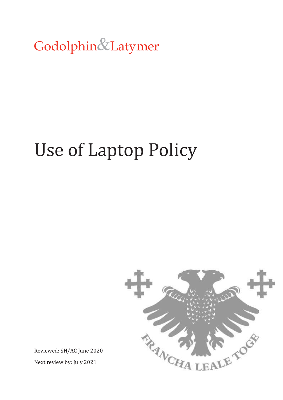Godolphin&Latymer

## Use of Laptop Policy



Reviewed: SH/AC June 2020 Next review by: July 2021